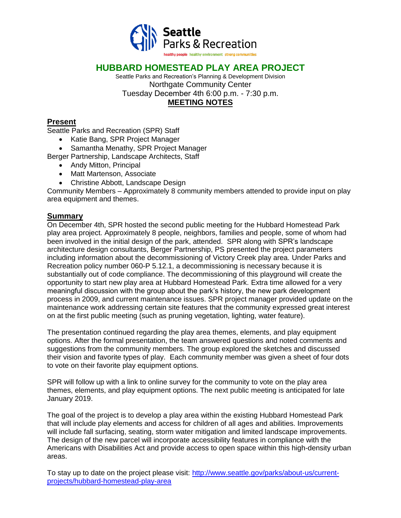

## **HUBBARD HOMESTEAD PLAY AREA PROJECT**

Seattle Parks and Recreation's Planning & Development Division Northgate Community Center Tuesday December 4th 6:00 p.m. - 7:30 p.m.

### **MEETING NOTES**

#### **Present**

Seattle Parks and Recreation (SPR) Staff

- Katie Bang, SPR Project Manager
- Samantha Menathy, SPR Project Manager

Berger Partnership, Landscape Architects, Staff

- Andy Mitton, Principal
- Matt Martenson, Associate
- Christine Abbott, Landscape Design

Community Members – Approximately 8 community members attended to provide input on play area equipment and themes.

#### **Summary**

On December 4th, SPR hosted the second public meeting for the Hubbard Homestead Park play area project. Approximately 8 people, neighbors, families and people, some of whom had been involved in the initial design of the park, attended. SPR along with SPR's landscape architecture design consultants, Berger Partnership, PS presented the project parameters including information about the decommissioning of Victory Creek play area. Under Parks and Recreation policy number 060-P 5.12.1, a decommissioning is necessary because it is substantially out of code compliance. The decommissioning of this playground will create the opportunity to start new play area at Hubbard Homestead Park. Extra time allowed for a very meaningful discussion with the group about the park's history, the new park development process in 2009, and current maintenance issues. SPR project manager provided update on the maintenance work addressing certain site features that the community expressed great interest on at the first public meeting (such as pruning vegetation, lighting, water feature).

The presentation continued regarding the play area themes, elements, and play equipment options. After the formal presentation, the team answered questions and noted comments and suggestions from the community members. The group explored the sketches and discussed their vision and favorite types of play. Each community member was given a sheet of four dots to vote on their favorite play equipment options.

SPR will follow up with a link to online survey for the community to vote on the play area themes, elements, and play equipment options. The next public meeting is anticipated for late January 2019.

The goal of the project is to develop a play area within the existing Hubbard Homestead Park that will include play elements and access for children of all ages and abilities. Improvements will include fall surfacing, seating, storm water mitigation and limited landscape improvements. The design of the new parcel will incorporate accessibility features in compliance with the Americans with Disabilities Act and provide access to open space within this high-density urban areas.

To stay up to date on the project please visit: [http://www.seattle.gov/parks/about-us/current](http://www.seattle.gov/parks/about-us/current-projects/hubbard-homestead-play-area)[projects/hubbard-homestead-play-area](http://www.seattle.gov/parks/about-us/current-projects/hubbard-homestead-play-area)